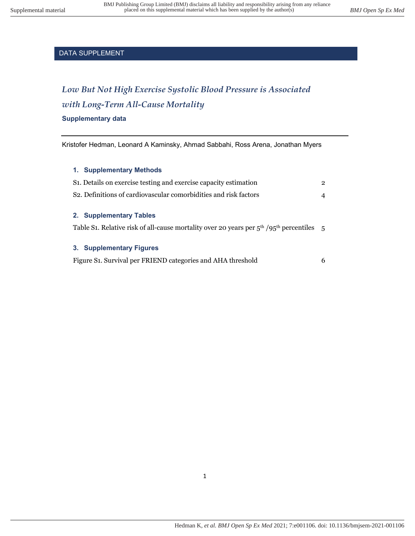# *Low But Not High Exercise Systolic Blood Pressure is Associated with Long-Term All-Cause Mortality*

#### **Supplementary data**

Kristofer Hedman, Leonard A Kaminsky, Ahmad Sabbahi, Ross Arena, Jonathan Myers

#### **1. Supplementary Methods**

| S <sub>1</sub> . Details on exercise testing and exercise capacity estimation                                          |   |  |  |  |
|------------------------------------------------------------------------------------------------------------------------|---|--|--|--|
| S <sub>2</sub> . Definitions of cardiovascular comorbidities and risk factors                                          |   |  |  |  |
| 2. Supplementary Tables<br>Table S1. Relative risk of all-cause mortality over 20 years per $5th / 95th$ percentiles 5 |   |  |  |  |
| 3. Supplementary Figures<br>Figure S1. Survival per FRIEND categories and AHA threshold                                | 6 |  |  |  |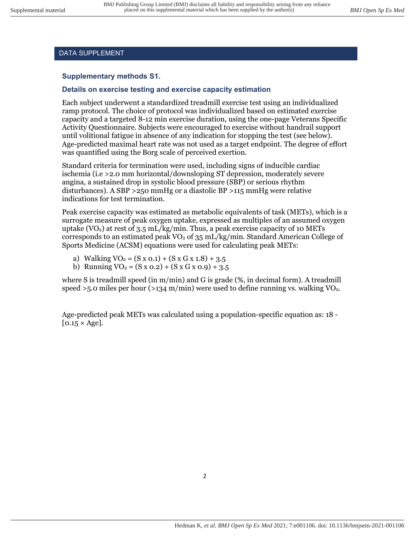## **Supplementary methods S1.**

# **Details on exercise testing and exercise capacity estimation**

Each subject underwent a standardized treadmill exercise test using an individualized ramp protocol. The choice of protocol was individualized based on estimated exercise capacity and a targeted 8-12 min exercise duration, using the one-page Veterans Specific Activity Questionnaire. Subjects were encouraged to exercise without handrail support until volitional fatigue in absence of any indication for stopping the test (see below). Age-predicted maximal heart rate was not used as a target endpoint. The degree of effort was quantified using the Borg scale of perceived exertion.

Standard criteria for termination were used, including signs of inducible cardiac ischemia (i.e >2.0 mm horizontal/downsloping ST depression, moderately severe angina, a sustained drop in systolic blood pressure (SBP) or serious rhythm disturbances). A SBP >250 mmHg or a diastolic BP >115 mmHg were relative indications for test termination.

Peak exercise capacity was estimated as metabolic equivalents of task (METs), which is a surrogate measure of peak oxygen uptake, expressed as multiples of an assumed oxygen uptake (VO<sub>2</sub>) at rest of 3.5 mL/kg/min. Thus, a peak exercise capacity of 10 METs corresponds to an estimated peak  $VO<sub>2</sub>$  of 35 mL/kg/min. Standard American College of Sports Medicine (ACSM) equations were used for calculating peak METs:

- a) Walking  $VO_2 = (S \times 0.1) + (S \times G \times 1.8) + 3.5$
- b) Running  $VO_2 = (S \times 0.2) + (S \times G \times 0.9) + 3.5$

where S is treadmill speed (in  $m/min$ ) and G is grade (%, in decimal form). A treadmill speed  $>5.0$  miles per hour ( $>134$  m/min) were used to define running vs. walking VO<sub>2</sub>.

Age-predicted peak METs was calculated using a population-specific equation as: 18 -  $[0.15 \times \text{Age}].$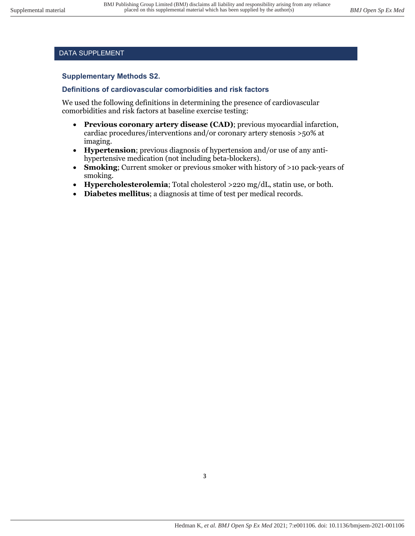#### **Supplementary Methods S2.**

#### **Definitions of cardiovascular comorbidities and risk factors**

We used the following definitions in determining the presence of cardiovascular comorbidities and risk factors at baseline exercise testing:

- **Previous coronary artery disease (CAD)**; previous myocardial infarction, cardiac procedures/interventions and/or coronary artery stenosis >50% at imaging.
- **Hypertension**; previous diagnosis of hypertension and/or use of any antihypertensive medication (not including beta-blockers).
- **Smoking**; Current smoker or previous smoker with history of >10 pack-years of smoking.
- **Hypercholesterolemia**; Total cholesterol >220 mg/dL, statin use, or both.
- **Diabetes mellitus**; a diagnosis at time of test per medical records.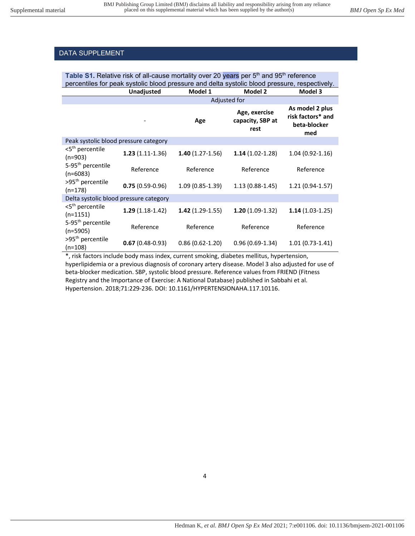| Table S1. Relative risk of all-cause mortality over 20 years per $5th$ and 95 <sup>th</sup> reference<br>percentiles for peak systolic blood pressure and delta systolic blood pressure, respectively. |                   |                     |                                           |                                                             |  |  |
|--------------------------------------------------------------------------------------------------------------------------------------------------------------------------------------------------------|-------------------|---------------------|-------------------------------------------|-------------------------------------------------------------|--|--|
|                                                                                                                                                                                                        | <b>Unadjusted</b> | Model 1             | Model 2                                   | Model 3                                                     |  |  |
|                                                                                                                                                                                                        | Adjusted for      |                     |                                           |                                                             |  |  |
|                                                                                                                                                                                                        |                   | Age                 | Age, exercise<br>capacity, SBP at<br>rest | As model 2 plus<br>risk factors* and<br>beta-blocker<br>med |  |  |
| Peak systolic blood pressure category                                                                                                                                                                  |                   |                     |                                           |                                                             |  |  |
| <5 <sup>th</sup> percentile<br>$(n=903)$                                                                                                                                                               | $1.23(1.11-1.36)$ | $1.40(1.27-1.56)$   | $1.14(1.02-1.28)$                         | $1.04(0.92 - 1.16)$                                         |  |  |
| 5-95 <sup>th</sup> percentile<br>$(n=6083)$                                                                                                                                                            | Reference         | Reference           | Reference                                 | Reference                                                   |  |  |
| >95 <sup>th</sup> percentile<br>$(n=178)$                                                                                                                                                              | $0.75(0.59-0.96)$ | $1.09(0.85-1.39)$   | $1.13(0.88-1.45)$                         | $1.21(0.94-1.57)$                                           |  |  |
| Delta systolic blood pressure category                                                                                                                                                                 |                   |                     |                                           |                                                             |  |  |
| <5 <sup>th</sup> percentile<br>$(n=1151)$                                                                                                                                                              | $1.29(1.18-1.42)$ | $1.42(1.29-1.55)$   | $1.20(1.09-1.32)$                         | $1.14(1.03-1.25)$                                           |  |  |
| 5-95 <sup>th</sup> percentile<br>$(n=5905)$                                                                                                                                                            | Reference         | Reference           | Reference                                 | Reference                                                   |  |  |
| >95 <sup>th</sup> percentile<br>(n=108)                                                                                                                                                                | $0.67(0.48-0.93)$ | $0.86(0.62 - 1.20)$ | $0.96(0.69-1.34)$                         | $1.01(0.73-1.41)$                                           |  |  |

\*, risk factors include body mass index, current smoking, diabetes mellitus, hypertension, hyperlipidemia or a previous diagnosis of coronary artery disease. Model 3 also adjusted for use of beta-blocker medication. SBP, systolic blood pressure. Reference values from FRIEND (Fitness Registry and the Importance of Exercise: A National Database) published in Sabbahi et al. Hypertension. 2018;71:229-236. DOI: 10.1161/HYPERTENSIONAHA.117.10116.

4